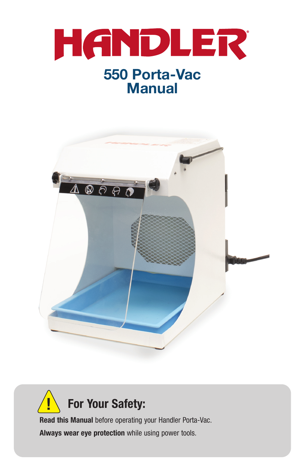





Read this Manual before operating your Handler Porta-Vac. Always wear eye protection while using power tools.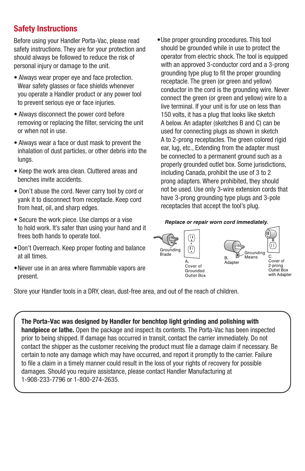# Safety Instructions

Before using your Handler Porta-Vac, please read safety instructions. They are for your protection and should always be followed to reduce the risk of personal injury or damage to the unit.

- Always wear proper eye and face protection. Wear safety glasses or face shields whenever you operate a Handler product or any power tool to prevent serious eye or face injuries.
- Always disconnect the power cord before removing or replacing the filter, servicing the unit or when not in use.
- Always wear a face or dust mask to prevent the inhalation of dust particles, or other debris into the lungs.
- Keep the work area clean. Cluttered areas and benches invite accidents.
- Don't abuse the cord. Never carry tool by cord or yank it to disconnect from receptacle. Keep cord from heat, oil, and sharp edges.
- Secure the work piece. Use clamps or a vise to hold work. It's safer than using your hand and it frees both hands to operate tool.
- •Don't Overreach. Keep proper footing and balance at all times.
- •Never use in an area where flammable vapors are present.

•Use proper grounding procedures. This tool should be grounded while in use to protect the operator from electric shock. The tool is equipped with an approved 3-conductor cord and a 3-prong grounding type plug to fit the proper grounding receptacle. The green (or green and yellow) conductor in the cord is the grounding wire. Never connect the green (or green and yellow) wire to a live terminal. If your unit is for use on less than 150 volts, it has a plug that looks like sketch A below. An adapter (sketches B and C) can be used for connecting plugs as shown in sketch A to 2-prong receptacles. The green colored rigid ear, lug, etc., Extending from the adapter must be connected to a permanent ground such as a properly grounded outlet box. Some jurisdictions, including Canada, prohibit the use of 3 to 2 prong adapters. Where prohibited, they should not be used. Use only 3-wire extension cords that have 3-prong grounding type plugs and 3-pole receptacles that accept the tool's plug.

#### Replace or repair worn cord immediately.



Store your Handler tools in a DRY, clean, dust-free area, and out of the reach of children.

The Porta-Vac was designed by Handler for benchtop light grinding and polishing with handpiece or lathe. Open the package and inspect its contents. The Porta-Vac has been inspected prior to being shipped. If damage has occurred in transit, contact the carrier immediately. Do not contact the shipper as the customer receiving the product must file a damage claim if necessary. Be certain to note any damage which may have occurred, and report it promptly to the carrier. Failure to file a claim in a timely manner could result in the loss of your rights of recovery for possible damages. Should you require assistance, please contact Handler Manufacturing at 1-908-233-7796 or 1-800-274-2635.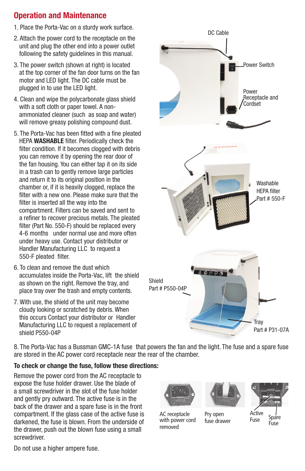# Operation and Maintenance

- 1. Place the Porta-Vac on a sturdy work surface.
- 2. Attach the power cord to the receptacle on the unit and plug the other end into a power outlet following the safety quidelines in this manual.
- 3. The power switch (shown at right) is located at the top corner of the fan door turns on the fan motor and LED light. The DC cable must be plugged in to use the LED light.
- 4. Clean and wipe the polycarbonate glass shield with a soft cloth or paper towel. A nonammoniated cleaner (such as soap and water) will remove greasy polishing compound dust.
- 5. The Porta-Vac has been fitted with a fine pleated HEPA WASHABLE filter. Periodically check the filter condition. If it becomes clogged with debris you can remove it by opening the rear door of the fan housing. You can either tap it on its side in a trash can to gently remove large particles and return it to its original position in the chamber or, if it is heavily clogged, replace the filter with a new one. Please make sure that the filter is inserted all the way into the compartment. Filters can be saved and sent to a refiner to recover precious metals. The pleated filter (Part No. 550-F) should be replaced every 4-6 months under normal use and more often under heavy use. Contact your distributor or Handler Manufacturing LLC to request a 550-F pleated filter.
- 6. To clean and remove the dust which accumulates inside the Porta-Vac, lift the shield as shown on the right. Remove the tray, and place tray over the trash and empty contents.
- 7. With use, the shield of the unit may become cloudy looking or scratched by debris. When this occurs Contact your distributor or Handler Manufacturing LLC to request a replacement of shield P550-04P

DC Cable Power Switch Power Receptacle and CordsetWashable HEPA filter Part # 550-F  $\mathbb{A} \otimes \overline{\otimes} \overline{\otimes} \overline{\mathfrak{O}}$ Shield Part # P550-04P **Tray** Part # P31-07A

8. The Porta-Vac has a Bussman GMC-1A fuse that powers the fan and the light. The fuse and a spare fuse are stored in the AC power cord receptacle near the rear of the chamber.

#### To check or change the fuse, follow these directions:

Remove the power cord from the AC receptacle to expose the fuse holder drawer. Use the blade of a small screwdriver in the slot of the fuse holder and gently pry outward. The active fuse is in the back of the drawer and a spare fuse is in the front compartment. If the glass case of the active fuse is darkened, the fuse is blown. From the underside of the drawer, push out the blown fuse using a small screwdriver.



AC receptacle with power cord removed



Pry open fuse drawer



Do not use a higher ampere fuse.